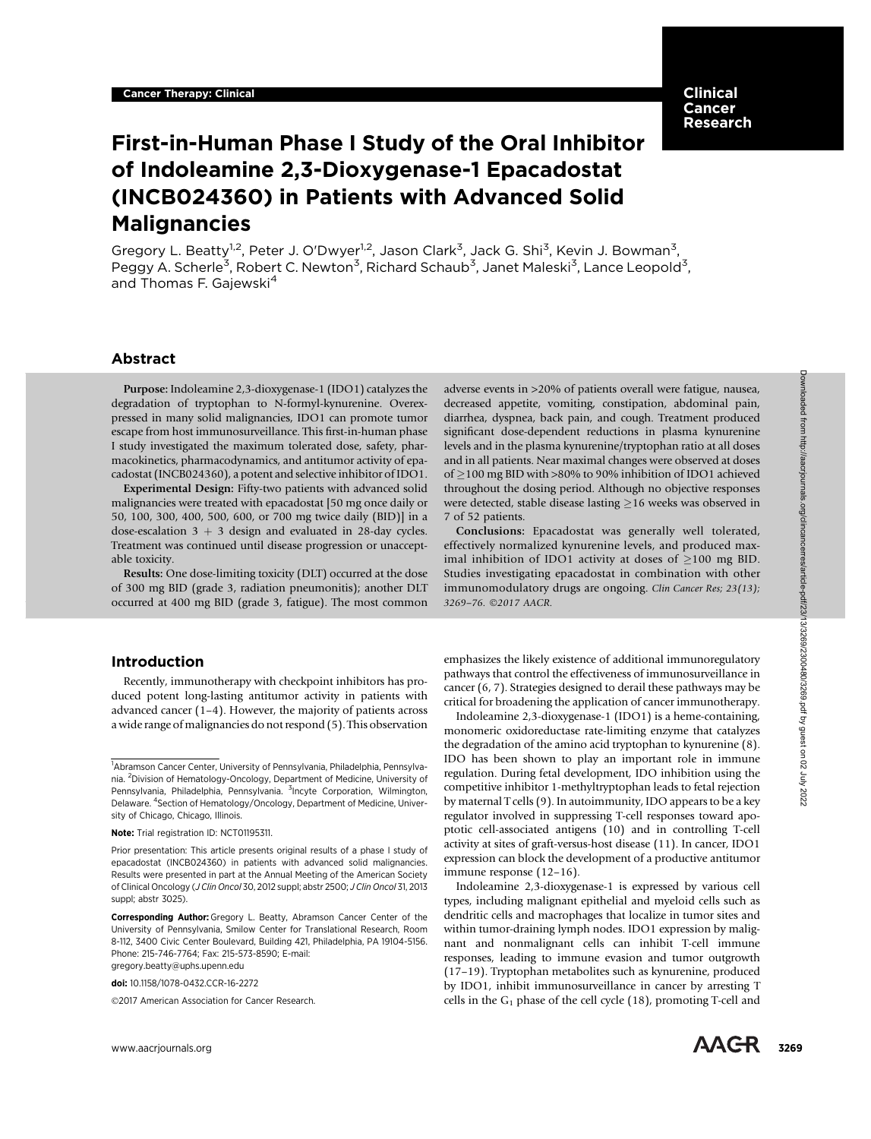# Clinical Cancer Research

# First-in-Human Phase I Study of the Oral Inhibitor of Indoleamine 2,3-Dioxygenase-1 Epacadostat (INCB024360) in Patients with Advanced Solid Malignancies

Gregory L. Beatty<sup>1,2</sup>, Peter J. O'Dwyer<sup>1,2</sup>, Jason Clark<sup>3</sup>, Jack G. Shi<sup>3</sup>, Kevin J. Bowman<sup>3</sup>, Peggy A. Scherle<sup>3</sup>, Robert C. Newton<sup>3</sup>, Richard Schaub<sup>3</sup>, Janet Maleski<sup>3</sup>, Lance Leopold<sup>3</sup>, and Thomas F. Gajewski<sup>4</sup>

# Abstract

Purpose: Indoleamine 2,3-dioxygenase-1 (IDO1) catalyzes the degradation of tryptophan to N-formyl-kynurenine. Overexpressed in many solid malignancies, IDO1 can promote tumor escape from host immunosurveillance. This first-in-human phase I study investigated the maximum tolerated dose, safety, pharmacokinetics, pharmacodynamics, and antitumor activity of epacadostat (INCB024360), a potent and selective inhibitor of IDO1.

Experimental Design: Fifty-two patients with advanced solid malignancies were treated with epacadostat [50 mg once daily or 50, 100, 300, 400, 500, 600, or 700 mg twice daily (BID)] in a dose-escalation  $3 + 3$  design and evaluated in 28-day cycles. Treatment was continued until disease progression or unacceptable toxicity.

Results: One dose-limiting toxicity (DLT) occurred at the dose of 300 mg BID (grade 3, radiation pneumonitis); another DLT occurred at 400 mg BID (grade 3, fatigue). The most common

# Introduction

Recently, immunotherapy with checkpoint inhibitors has produced potent long-lasting antitumor activity in patients with advanced cancer (1–4). However, the majority of patients across a wide range of malignancies do not respond (5). This observation

doi: 10.1158/1078-0432.CCR-16-2272

2017 American Association for Cancer Research.

adverse events in >20% of patients overall were fatigue, nausea, decreased appetite, vomiting, constipation, abdominal pain, diarrhea, dyspnea, back pain, and cough. Treatment produced significant dose-dependent reductions in plasma kynurenine levels and in the plasma kynurenine/tryptophan ratio at all doses and in all patients. Near maximal changes were observed at doses of 2100 mg BID with >80% to 90% inhibition of IDO1 achieved<br>throughout the dosing period. Although no objective responses throughout the dosing period. Although no objective responses were detected, stable disease lasting  $\geq$ 16 weeks was observed in 7 of 52 patients.

Conclusions: Epacadostat was generally well tolerated, effectively normalized kynurenine levels, and produced maximal inhibition of IDO1 activity at doses of  $\geq$ 100 mg BID. Studies investigating epacadostat in combination with other immunomodulatory drugs are ongoing. Clin Cancer Res; 23(13); 3269–76. ©2017 AACR.

emphasizes the likely existence of additional immunoregulatory pathways that control the effectiveness of immunosurveillance in cancer (6, 7). Strategies designed to derail these pathways may be critical for broadening the application of cancer immunotherapy.

Indoleamine 2,3-dioxygenase-1 (IDO1) is a heme-containing, monomeric oxidoreductase rate-limiting enzyme that catalyzes the degradation of the amino acid tryptophan to kynurenine (8). IDO has been shown to play an important role in immune regulation. During fetal development, IDO inhibition using the competitive inhibitor 1-methyltryptophan leads to fetal rejection by maternal T cells (9). In autoimmunity, IDO appears to be a key regulator involved in suppressing T-cell responses toward apoptotic cell-associated antigens (10) and in controlling T-cell activity at sites of graft-versus-host disease (11). In cancer, IDO1 expression can block the development of a productive antitumor immune response (12–16). **Propose the effective of the effective of the effective of the effective of the effective of the effective of the effective of the effective of the effective of the effective of the effective of the effective of the effe** 

Indoleamine 2,3-dioxygenase-1 is expressed by various cell types, including malignant epithelial and myeloid cells such as dendritic cells and macrophages that localize in tumor sites and within tumor-draining lymph nodes. IDO1 expression by malignant and nonmalignant cells can inhibit T-cell immune responses, leading to immune evasion and tumor outgrowth (17–19). Tryptophan metabolites such as kynurenine, produced by IDO1, inhibit immunosurveillance in cancer by arresting T cells in the  $G_1$  phase of the cell cycle (18), promoting T-cell and



<sup>&</sup>lt;sup>1</sup>Abramson Cancer Center, University of Pennsylvania, Philadelphia, Pennsylvania. <sup>2</sup> Division of Hematology-Oncology, Department of Medicine, University of Pennsylvania, Philadelphia, Pennsylvania. <sup>3</sup>Incyte Corporation, Wilmington, Delaware. <sup>4</sup>Section of Hematology/Oncology, Department of Medicine, University of Chicago, Chicago, Illinois.

Note: Trial registration ID: NCT01195311.

Prior presentation: This article presents original results of a phase I study of epacadostat (INCB024360) in patients with advanced solid malignancies. Results were presented in part at the Annual Meeting of the American Society of Clinical Oncology (J Clin Oncol 30, 2012 suppl; abstr 2500; J Clin Oncol 31, 2013 suppl; abstr 3025).

Corresponding Author: Gregory L. Beatty, Abramson Cancer Center of the University of Pennsylvania, Smilow Center for Translational Research, Room 8-112, 3400 Civic Center Boulevard, Building 421, Philadelphia, PA 19104-5156. Phone: 215-746-7764; Fax: 215-573-8590; E-mail: gregory.beatty@uphs.upenn.edu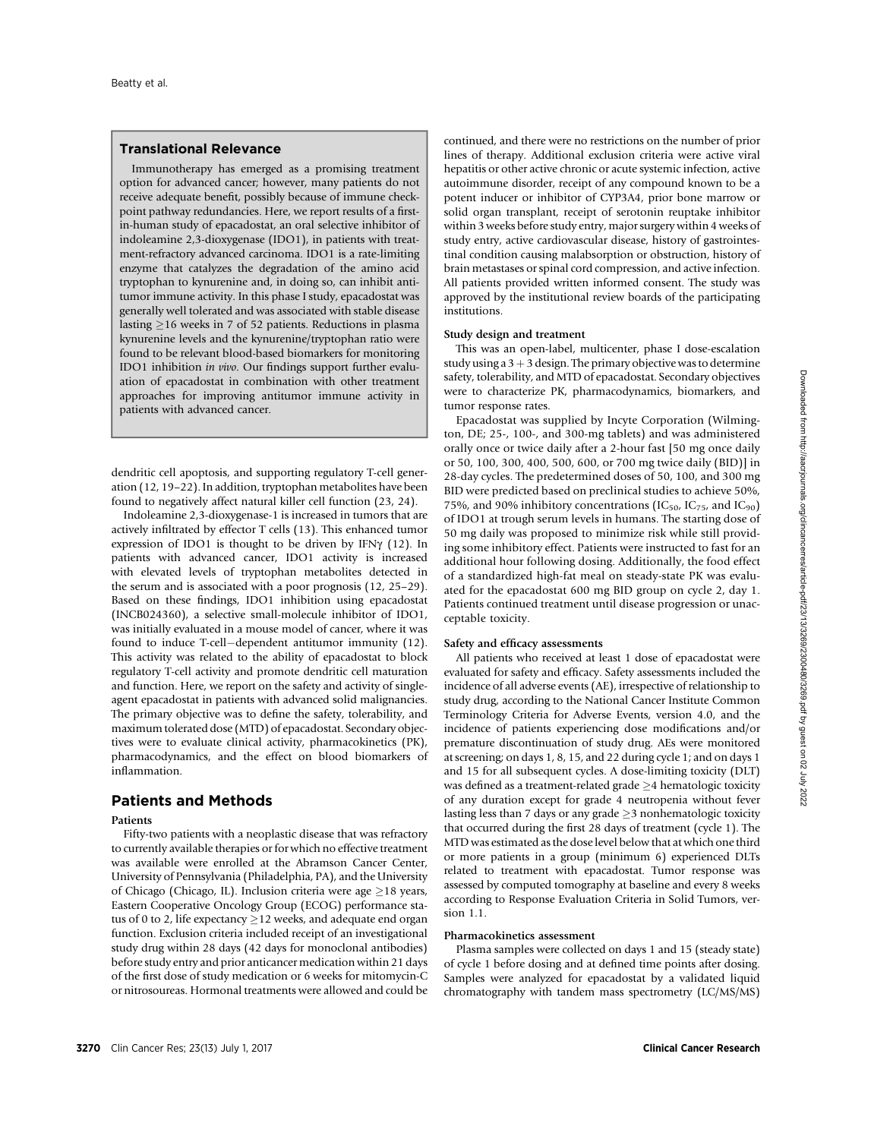# Translational Relevance

Immunotherapy has emerged as a promising treatment option for advanced cancer; however, many patients do not receive adequate benefit, possibly because of immune checkpoint pathway redundancies. Here, we report results of a firstin-human study of epacadostat, an oral selective inhibitor of indoleamine 2,3-dioxygenase (IDO1), in patients with treatment-refractory advanced carcinoma. IDO1 is a rate-limiting enzyme that catalyzes the degradation of the amino acid tryptophan to kynurenine and, in doing so, can inhibit antitumor immune activity. In this phase I study, epacadostat was generally well tolerated and was associated with stable disease lasting  $\geq$ 16 weeks in 7 of 52 patients. Reductions in plasma kynurenine levels and the kynurenine/tryptophan ratio were found to be relevant blood-based biomarkers for monitoring IDO1 inhibition in vivo. Our findings support further evaluation of epacadostat in combination with other treatment approaches for improving antitumor immune activity in patients with advanced cancer.

dendritic cell apoptosis, and supporting regulatory T-cell generation (12, 19–22). In addition, tryptophan metabolites have been found to negatively affect natural killer cell function (23, 24).

Indoleamine 2,3-dioxygenase-1 is increased in tumors that are actively infiltrated by effector T cells (13). This enhanced tumor expression of IDO1 is thought to be driven by IFN $\gamma$  (12). In patients with advanced cancer, IDO1 activity is increased with elevated levels of tryptophan metabolites detected in the serum and is associated with a poor prognosis (12, 25–29). Based on these findings, IDO1 inhibition using epacadostat (INCB024360), a selective small-molecule inhibitor of IDO1, was initially evaluated in a mouse model of cancer, where it was found to induce T-cell-dependent antitumor immunity (12). This activity was related to the ability of epacadostat to block regulatory T-cell activity and promote dendritic cell maturation and function. Here, we report on the safety and activity of singleagent epacadostat in patients with advanced solid malignancies. The primary objective was to define the safety, tolerability, and maximum tolerated dose (MTD) of epacadostat. Secondary objectives were to evaluate clinical activity, pharmacokinetics (PK), pharmacodynamics, and the effect on blood biomarkers of inflammation.

# Patients and Methods

## Patients

Fifty-two patients with a neoplastic disease that was refractory to currently available therapies or for which no effective treatment was available were enrolled at the Abramson Cancer Center, University of Pennsylvania (Philadelphia, PA), and the University of Chicago (Chicago, IL). Inclusion criteria were age  $\geq$ 18 years, Eastern Cooperative Oncology Group (ECOG) performance status of 0 to 2, life expectancy  $\geq$  12 weeks, and adequate end organ function. Exclusion criteria included receipt of an investigational study drug within 28 days (42 days for monoclonal antibodies) before study entry and prior anticancer medication within 21 days of the first dose of study medication or 6 weeks for mitomycin-C or nitrosoureas. Hormonal treatments were allowed and could be continued, and there were no restrictions on the number of prior lines of therapy. Additional exclusion criteria were active viral hepatitis or other active chronic or acute systemic infection, active autoimmune disorder, receipt of any compound known to be a potent inducer or inhibitor of CYP3A4, prior bone marrow or solid organ transplant, receipt of serotonin reuptake inhibitor within 3 weeks before study entry, major surgery within 4 weeks of study entry, active cardiovascular disease, history of gastrointestinal condition causing malabsorption or obstruction, history of brain metastases or spinal cord compression, and active infection. All patients provided written informed consent. The study was approved by the institutional review boards of the participating institutions.

# Study design and treatment

This was an open-label, multicenter, phase I dose-escalation study using a  $3 + 3$  design. The primary objective was to determine safety, tolerability, and MTD of epacadostat. Secondary objectives were to characterize PK, pharmacodynamics, biomarkers, and tumor response rates.

Epacadostat was supplied by Incyte Corporation (Wilmington, DE; 25-, 100-, and 300-mg tablets) and was administered orally once or twice daily after a 2-hour fast [50 mg once daily or 50, 100, 300, 400, 500, 600, or 700 mg twice daily (BID)] in 28-day cycles. The predetermined doses of 50, 100, and 300 mg BID were predicted based on preclinical studies to achieve 50%, 75%, and 90% inhibitory concentrations (IC<sub>50</sub>, IC<sub>75</sub>, and IC<sub>90</sub>) of IDO1 at trough serum levels in humans. The starting dose of 50 mg daily was proposed to minimize risk while still providing some inhibitory effect. Patients were instructed to fast for an additional hour following dosing. Additionally, the food effect of a standardized high-fat meal on steady-state PK was evaluated for the epacadostat 600 mg BID group on cycle 2, day 1. Patients continued treatment until disease progression or unacceptable toxicity.

#### Safety and efficacy assessments

All patients who received at least 1 dose of epacadostat were evaluated for safety and efficacy. Safety assessments included the incidence of all adverse events (AE), irrespective of relationship to study drug, according to the National Cancer Institute Common Terminology Criteria for Adverse Events, version 4.0, and the incidence of patients experiencing dose modifications and/or premature discontinuation of study drug. AEs were monitored at screening; on days 1, 8, 15, and 22 during cycle 1; and on days 1 and 15 for all subsequent cycles. A dose-limiting toxicity (DLT) was defined as a treatment-related grade  $\geq$  4 hematologic toxicity of any duration except for grade 4 neutropenia without fever lasting less than 7 days or any grade  $\geq$ 3 nonhematologic toxicity that occurred during the first 28 days of treatment (cycle 1). The MTD was estimated as the dose level below that at which one third or more patients in a group (minimum 6) experienced DLTs related to treatment with epacadostat. Tumor response was assessed by computed tomography at baseline and every 8 weeks according to Response Evaluation Criteria in Solid Tumors, version 1.1.

## Pharmacokinetics assessment

Plasma samples were collected on days 1 and 15 (steady state) of cycle 1 before dosing and at defined time points after dosing. Samples were analyzed for epacadostat by a validated liquid chromatography with tandem mass spectrometry (LC/MS/MS)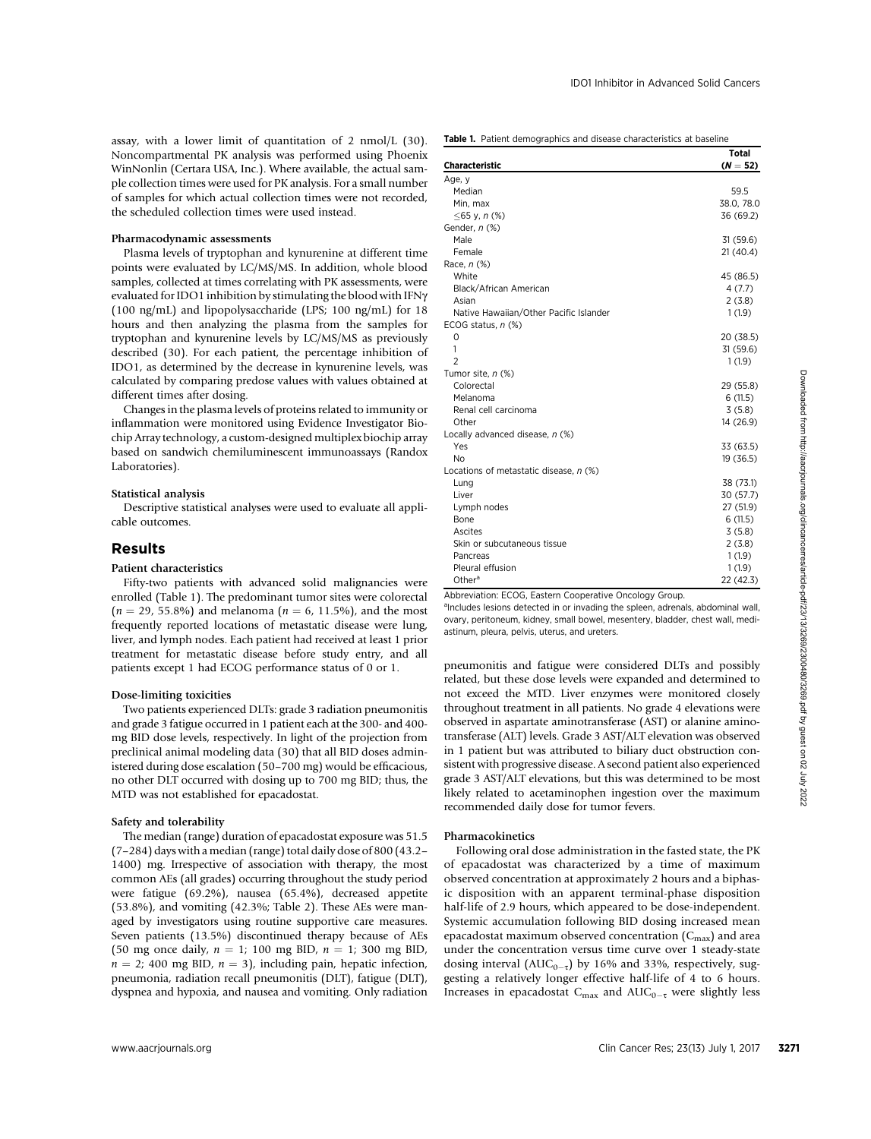assay, with a lower limit of quantitation of 2 nmol/L (30). Noncompartmental PK analysis was performed using Phoenix WinNonlin (Certara USA, Inc.). Where available, the actual sample collection times were used for PK analysis. For a small number of samples for which actual collection times were not recorded, the scheduled collection times were used instead.

## Pharmacodynamic assessments

Plasma levels of tryptophan and kynurenine at different time points were evaluated by LC/MS/MS. In addition, whole blood samples, collected at times correlating with PK assessments, were evaluated for IDO1 inhibition by stimulating the blood with IFNg (100 ng/mL) and lipopolysaccharide (LPS; 100 ng/mL) for 18 hours and then analyzing the plasma from the samples for tryptophan and kynurenine levels by LC/MS/MS as previously described (30). For each patient, the percentage inhibition of IDO1, as determined by the decrease in kynurenine levels, was calculated by comparing predose values with values obtained at different times after dosing.

Changes in the plasma levels of proteins related to immunity or inflammation were monitored using Evidence Investigator Biochip Array technology, a custom-designed multiplex biochip array based on sandwich chemiluminescent immunoassays (Randox Laboratories).

## Statistical analysis

Descriptive statistical analyses were used to evaluate all applicable outcomes.

# Results

#### Patient characteristics

Fifty-two patients with advanced solid malignancies were enrolled (Table 1). The predominant tumor sites were colorectal  $(n = 29, 55.8\%)$  and melanoma  $(n = 6, 11.5\%)$ , and the most frequently reported locations of metastatic disease were lung, liver, and lymph nodes. Each patient had received at least 1 prior treatment for metastatic disease before study entry, and all patients except 1 had ECOG performance status of 0 or 1.

#### Dose-limiting toxicities

Two patients experienced DLTs: grade 3 radiation pneumonitis and grade 3 fatigue occurred in 1 patient each at the 300- and 400 mg BID dose levels, respectively. In light of the projection from preclinical animal modeling data (30) that all BID doses administered during dose escalation (50–700 mg) would be efficacious, no other DLT occurred with dosing up to 700 mg BID; thus, the MTD was not established for epacadostat.

#### Safety and tolerability

The median (range) duration of epacadostat exposure was 51.5 (7–284) days with a median (range) total daily dose of 800 (43.2– 1400) mg. Irrespective of association with therapy, the most common AEs (all grades) occurring throughout the study period were fatigue (69.2%), nausea (65.4%), decreased appetite (53.8%), and vomiting (42.3%; Table 2). These AEs were managed by investigators using routine supportive care measures. Seven patients (13.5%) discontinued therapy because of AEs (50 mg once daily,  $n = 1$ ; 100 mg BID,  $n = 1$ ; 300 mg BID,  $n = 2$ ; 400 mg BID,  $n = 3$ ), including pain, hepatic infection, pneumonia, radiation recall pneumonitis (DLT), fatigue (DLT), dyspnea and hypoxia, and nausea and vomiting. Only radiation

|                                        | <b>Total</b> |
|----------------------------------------|--------------|
| <b>Characteristic</b>                  | $(N = 52)$   |
| Age, y                                 |              |
| Median                                 | 59.5         |
| Min, max                               | 38.0, 78.0   |
| ≤65 y, n (%)                           | 36 (69.2)    |
| Gender, n (%)                          |              |
| Male                                   | 31 (59.6)    |
| Female                                 | 21(40.4)     |
| Race, $n$ $%$                          |              |
| White                                  | 45 (86.5)    |
| Black/African American                 | 4(7.7)       |
| Asian                                  | 2(3.8)       |
| Native Hawaiian/Other Pacific Islander | 1(1.9)       |
| ECOG status, $n$ $%$                   |              |
| 0                                      | 20 (38.5)    |
| 1                                      | 31 (59.6)    |
| $\overline{2}$                         | 1(1.9)       |
| Tumor site, n (%)                      |              |
| Colorectal                             | 29 (55.8)    |
| Melanoma                               | 6(11.5)      |
| Renal cell carcinoma                   | 3(5.8)       |
| Other                                  | 14 (26.9)    |
| Locally advanced disease, n (%)        |              |
| Yes                                    | 33 (63.5)    |
| <b>No</b>                              | 19 (36.5)    |
| Locations of metastatic disease, n (%) |              |
| Lung                                   | 38 (73.1)    |
| Liver                                  | 30 (57.7)    |
| Lymph nodes                            | 27 (51.9)    |
| Bone                                   | 6(11.5)      |
| Ascites                                | 3(5.8)       |
| Skin or subcutaneous tissue            | 2(3.8)       |
| Pancreas                               | 1(1.9)       |
| Pleural effusion                       | 1(1.9)       |
| Other <sup>a</sup>                     | 22 (42.3)    |

Abbreviation: ECOG, Eastern Cooperative Oncology Group.

<sup>a</sup>Includes lesions detected in or invading the spleen, adrenals, abdominal wall, ovary, peritoneum, kidney, small bowel, mesentery, bladder, chest wall, mediastinum, pleura, pelvis, uterus, and ureters.

pneumonitis and fatigue were considered DLTs and possibly related, but these dose levels were expanded and determined to not exceed the MTD. Liver enzymes were monitored closely throughout treatment in all patients. No grade 4 elevations were observed in aspartate aminotransferase (AST) or alanine aminotransferase (ALT) levels. Grade 3 AST/ALT elevation was observed in 1 patient but was attributed to biliary duct obstruction consistent with progressive disease. A second patient also experienced grade 3 AST/ALT elevations, but this was determined to be most likely related to acetaminophen ingestion over the maximum recommended daily dose for tumor fevers.

#### Pharmacokinetics

Following oral dose administration in the fasted state, the PK of epacadostat was characterized by a time of maximum observed concentration at approximately 2 hours and a biphasic disposition with an apparent terminal-phase disposition half-life of 2.9 hours, which appeared to be dose-independent. Systemic accumulation following BID dosing increased mean epacadostat maximum observed concentration  $(C_{\text{max}})$  and area under the concentration versus time curve over 1 steady-state dosing interval ( $AUC_{0-\tau}$ ) by 16% and 33%, respectively, suggesting a relatively longer effective half-life of 4 to 6 hours. Increases in epacadostat  $C_{\text{max}}$  and  $\text{AUC}_{0-\tau}$  were slightly less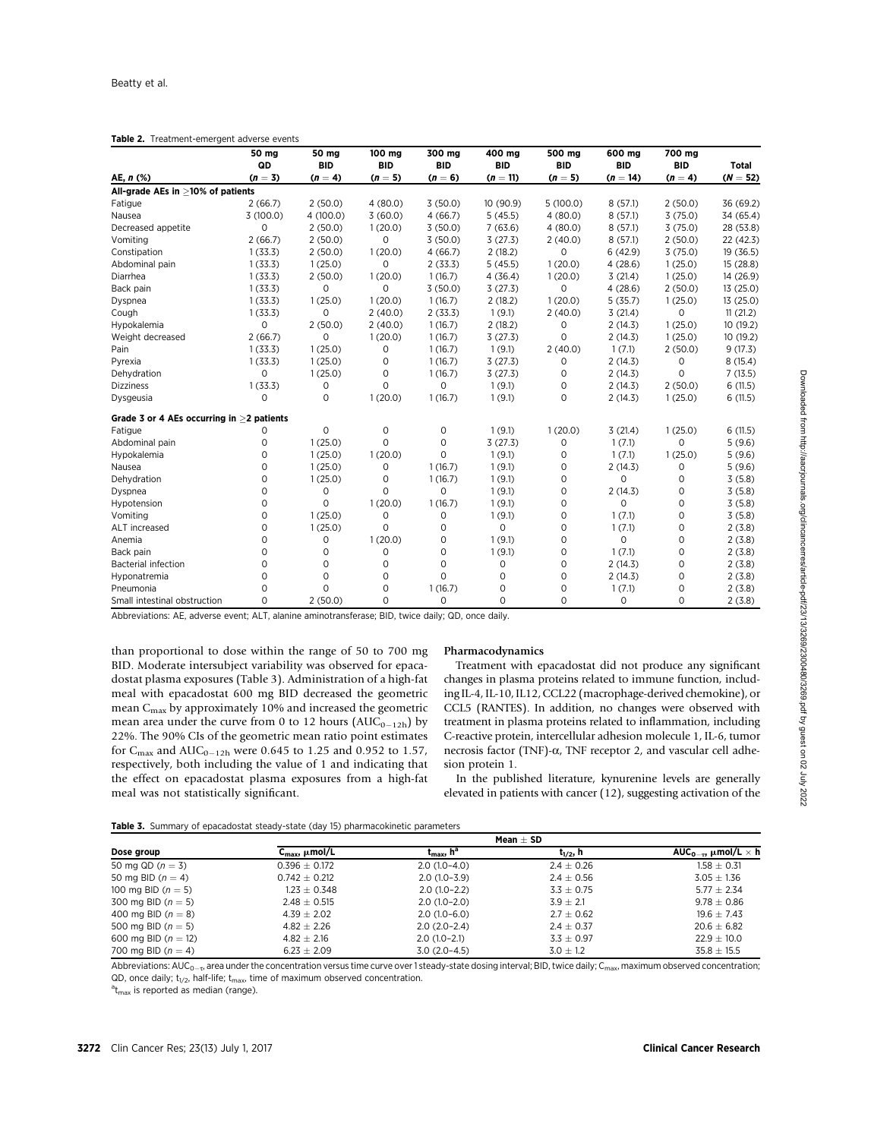|  |  | Table 2. Treatment-emergent adverse events |  |  |
|--|--|--------------------------------------------|--|--|
|--|--|--------------------------------------------|--|--|

|                                              | 50 mg               | 50 mg      | 100 mg      | 300 mg      | 400 mg     | 500 mg      | 600 mg     | 700 mg      |              |
|----------------------------------------------|---------------------|------------|-------------|-------------|------------|-------------|------------|-------------|--------------|
|                                              | QD                  | <b>BID</b> | <b>BID</b>  | <b>BID</b>  | <b>BID</b> | <b>BID</b>  | <b>BID</b> | <b>BID</b>  | <b>Total</b> |
| AE, $n$ (%)                                  | $(n = 3)$           | $(n = 4)$  | $(n = 5)$   | $(n = 6)$   | $(n = 11)$ | $(n = 5)$   | $(n = 14)$ | $(n = 4)$   | $(N = 52)$   |
| All-grade AEs in ≥10% of patients            |                     |            |             |             |            |             |            |             |              |
| Fatigue                                      | 2(66.7)             | 2(50.0)    | 4(80.0)     | 3(50.0)     | 10(90.9)   | 5(100.0)    | 8(57.1)    | 2(50.0)     | 36 (69.2)    |
| Nausea                                       | 3(100.0)            | 4(100.0)   | 3(60.0)     | 4(66.7)     | 5(45.5)    | 4(80.0)     | 8(57.1)    | 3(75.0)     | 34 (65.4)    |
| Decreased appetite                           | $\mathbf 0$         | 2(50.0)    | 1(20.0)     | 3(50.0)     | 7(63.6)    | 4(80.0)     | 8(57.1)    | 3(75.0)     | 28 (53.8)    |
| Vomiting                                     | 2(66.7)             | 2(50.0)    | $\mathbf 0$ | 3(50.0)     | 3(27.3)    | 2(40.0)     | 8(57.1)    | 2(50.0)     | 22 (42.3)    |
| Constipation                                 | 1(33.3)             | 2(50.0)    | 1(20.0)     | 4(66.7)     | 2(18.2)    | 0           | 6(42.9)    | 3(75.0)     | 19 (36.5)    |
| Abdominal pain                               | 1(33.3)             | 1(25.0)    | $\mathbf 0$ | 2(33.3)     | 5(45.5)    | 1(20.0)     | 4(28.6)    | 1(25.0)     | 15 (28.8)    |
| Diarrhea                                     | 1(33.3)             | 2(50.0)    | 1(20.0)     | 1(16.7)     | 4(36.4)    | 1(20.0)     | 3(21.4)    | 1(25.0)     | 14 (26.9)    |
| Back pain                                    | 1(33.3)             | 0          | $\mathbf 0$ | 3(50.0)     | 3(27.3)    | 0           | 4(28.6)    | 2(50.0)     | 13 (25.0)    |
| Dyspnea                                      | 1(33.3)             | 1(25.0)    | 1(20.0)     | 1(16.7)     | 2(18.2)    | 1(20.0)     | 5(35.7)    | 1(25.0)     | 13 (25.0)    |
| Cough                                        | 1(33.3)             | $\Omega$   | 2(40.0)     | 2(33.3)     | 1(9.1)     | 2(40.0)     | 3(21.4)    | 0           | 11(21.2)     |
| Hypokalemia                                  | $\circ$             | 2(50.0)    | 2(40.0)     | 1(16.7)     | 2(18.2)    | 0           | 2(14.3)    | 1(25.0)     | 10(19.2)     |
| Weight decreased                             | 2(66.7)             | $\Omega$   | 1(20.0)     | 1(16.7)     | 3(27.3)    | $\Omega$    | 2(14.3)    | 1(25.0)     | 10 (19.2)    |
| Pain                                         | 1(33.3)             | 1(25.0)    | $\mathbf 0$ | 1(16.7)     | 1(9.1)     | 2(40.0)     | 1(7.1)     | 2(50.0)     | 9(17.3)      |
| Pyrexia                                      | 1(33.3)             | 1(25.0)    | $\mathbf 0$ | 1(16.7)     | 3(27.3)    | 0           | 2(14.3)    | 0           | 8(15.4)      |
| Dehydration                                  | $\Omega$            | 1(25.0)    | 0           | 1(16.7)     | 3(27.3)    | 0           | 2(14.3)    | $\mathbf 0$ | 7(13.5)      |
| <b>Dizziness</b>                             | 1(33.3)             | 0          | $\Omega$    | $\mathbf 0$ | 1(9.1)     | $\mathbf 0$ | 2(14.3)    | 2(50.0)     | 6(11.5)      |
| Dysgeusia                                    | $\Omega$            | $\Omega$   | 1(20.0)     | 1(16.7)     | 1(9.1)     | 0           | 2(14.3)    | 1(25.0)     | 6(11.5)      |
| Grade 3 or 4 AEs occurring in $>$ 2 patients |                     |            |             |             |            |             |            |             |              |
| Fatigue                                      | 0                   | 0          | 0           | 0           | 1(9.1)     | 1(20.0)     | 3(21.4)    | 1(25.0)     | 6(11.5)      |
| Abdominal pain                               | $\mathsf{O}\xspace$ | 1(25.0)    | $\Omega$    | 0           | 3(27.3)    | 0           | 1(7.1)     | $\mathbf 0$ | 5(9.6)       |
| Hypokalemia                                  | $\circ$             | 1(25.0)    | 1(20.0)     | $\circ$     | 1(9.1)     | 0           | 1(7.1)     | 1(25.0)     | 5(9.6)       |
| Nausea                                       | $\circ$             | 1(25.0)    | $\mathbf 0$ | 1(16.7)     | 1(9.1)     | 0           | 2(14.3)    | $\mathbf 0$ | 5(9.6)       |
| Dehydration                                  | $\circ$             | 1(25.0)    | 0           | 1(16.7)     | 1(9.1)     | 0           | $\circ$    | $\mathbf 0$ | 3(5.8)       |
| Dyspnea                                      | $\mathbf 0$         | 0          | $\mathbf 0$ | 0           | 1(9.1)     | $\mathbf 0$ | 2(14.3)    | $\mathbf 0$ | 3(5.8)       |
| Hypotension                                  | $\mathbf 0$         | $\Omega$   | 1(20.0)     | 1(16.7)     | 1(9.1)     | $\mathbf 0$ | 0          | $\mathbf 0$ | 3(5.8)       |
| Vomiting                                     | $\mathbf 0$         | 1(25.0)    | $\circ$     | $\mathbf 0$ | 1(9.1)     | $\mathbf 0$ | 1(7.1)     | $\mathbf 0$ | 3(5.8)       |
| ALT increased                                | $\mathbf 0$         | 1(25.0)    | $\Omega$    | 0           | 0          | $\mathbf 0$ | 1(7.1)     | 0           | 2(3.8)       |
| Anemia                                       | $\mathbf 0$         | 0          | 1(20.0)     | $\mathbf 0$ | 1(9.1)     | 0           | 0          | $\mathbf 0$ | 2(3.8)       |
| Back pain                                    | $\Omega$            | 0          | $\mathbf 0$ | 0           | 1(9.1)     | 0           | 1(7.1)     | $\mathbf 0$ | 2(3.8)       |
| <b>Bacterial infection</b>                   | $\mathbf 0$         | $\Omega$   | $\mathbf 0$ | $\mathbf 0$ | 0          | $\mathbf 0$ | 2(14.3)    | $\mathbf 0$ | 2(3.8)       |
| Hyponatremia                                 | $\Omega$            | $\Omega$   | $\Omega$    | $\Omega$    | $\Omega$   | $\mathbf 0$ | 2(14.3)    | $\mathbf 0$ | 2(3.8)       |
| Pneumonia                                    | $\Omega$            | $\Omega$   | $\mathbf 0$ | 1(16.7)     | 0          | 0           | 1(7.1)     | $\mathbf 0$ | 2(3.8)       |
| Small intestinal obstruction                 | 0                   | 2(50.0)    | $\mathbf 0$ | $\circ$     | 0          | 0           | $\circ$    | $\mathbf 0$ | 2(3.8)       |

Abbreviations: AE, adverse event; ALT, alanine aminotransferase; BID, twice daily; QD, once daily.

than proportional to dose within the range of 50 to 700 mg BID. Moderate intersubject variability was observed for epacadostat plasma exposures (Table 3). Administration of a high-fat meal with epacadostat 600 mg BID decreased the geometric mean  $C_{\rm max}$  by approximately 10% and increased the geometric mean area under the curve from 0 to 12 hours ( $AUC_{0-12h}$ ) by 22%. The 90% CIs of the geometric mean ratio point estimates for  $C_{\text{max}}$  and  $\text{AUC}_{0-12h}$  were 0.645 to 1.25 and 0.952 to 1.57, respectively, both including the value of 1 and indicating that the effect on epacadostat plasma exposures from a high-fat meal was not statistically significant.

#### Pharmacodynamics

Treatment with epacadostat did not produce any significant changes in plasma proteins related to immune function, including IL-4, IL-10, IL12, CCL22 (macrophage-derived chemokine), or CCL5 (RANTES). In addition, no changes were observed with treatment in plasma proteins related to inflammation, including C-reactive protein, intercellular adhesion molecule 1, IL-6, tumor necrosis factor (TNF)- $\alpha$ , TNF receptor 2, and vascular cell adhesion protein 1.

In the published literature, kynurenine levels are generally elevated in patients with cancer (12), suggesting activation of the

Table 3. Summary of epacadostat steady-state (day 15) pharmacokinetic parameters

|                         | Mean $\pm$ SD                  |                                |                |                                             |  |  |
|-------------------------|--------------------------------|--------------------------------|----------------|---------------------------------------------|--|--|
| Dose group              | $C_{\text{max}}$ , $\mu$ mol/L | $t_{\rm max}$ , h <sup>a</sup> | $t_{1/2}$ , h  | AUC <sub>0-7</sub> , $\mu$ mol/L $\times$ h |  |  |
| 50 mg QD $(n = 3)$      | $0.396 \pm 0.172$              | $2.0(1.0-4.0)$                 | $2.4 \pm 0.26$ | $1.58 \pm 0.31$                             |  |  |
| 50 mg BID ( $n = 4$ )   | $0.742 \pm 0.212$              | $2.0(1.0-3.9)$                 | $2.4 \pm 0.56$ | $3.05 \pm 1.36$                             |  |  |
| 100 mg BID $(n = 5)$    | 1.23 $\pm$ 0.348 $^{\circ}$    | $2.0(1.0-2.2)$                 | $3.3 \pm 0.75$ | $5.77 \pm 2.34$                             |  |  |
| 300 mg BID $(n = 5)$    | $2.48 \pm 0.515$               | $2.0(1.0-2.0)$                 | $3.9 + 2.1$    | $9.78 + 0.86$                               |  |  |
| 400 mg BID $(n = 8)$    | $4.39 \pm 2.02$                | $2.0(1.0-6.0)$                 | $2.7 \pm 0.62$ | $19.6 \pm 7.43$                             |  |  |
| 500 mg BID ( $n = 5$ )  | $4.82 \pm 2.26$                | $2.0(2.0-2.4)$                 | $2.4 \pm 0.37$ | $20.6 \pm 6.82$                             |  |  |
| 600 mg BID ( $n = 12$ ) | $4.82 \pm 2.16$                | $2.0(1.0-2.1)$                 | $3.3 \pm 0.97$ | $22.9 \pm 10.0$                             |  |  |
| 700 mg BID $(n = 4)$    | $6.23 \pm 2.09$                | $3.0(2.0-4.5)$                 | $3.0 \pm 1.2$  | $35.8 \pm 15.5$                             |  |  |

Abbreviations:  $AUC_{0-x}$  area under the concentration versus time curve over 1 steady-state dosing interval; BID, twice daily; C<sub>max</sub>, maximum observed concentration; QD, once daily;  $t_{1/2}$ , half-life;  $t_{max}$ , time of maximum observed concentration.

 $a_{\text{max}}$  is reported as median (range).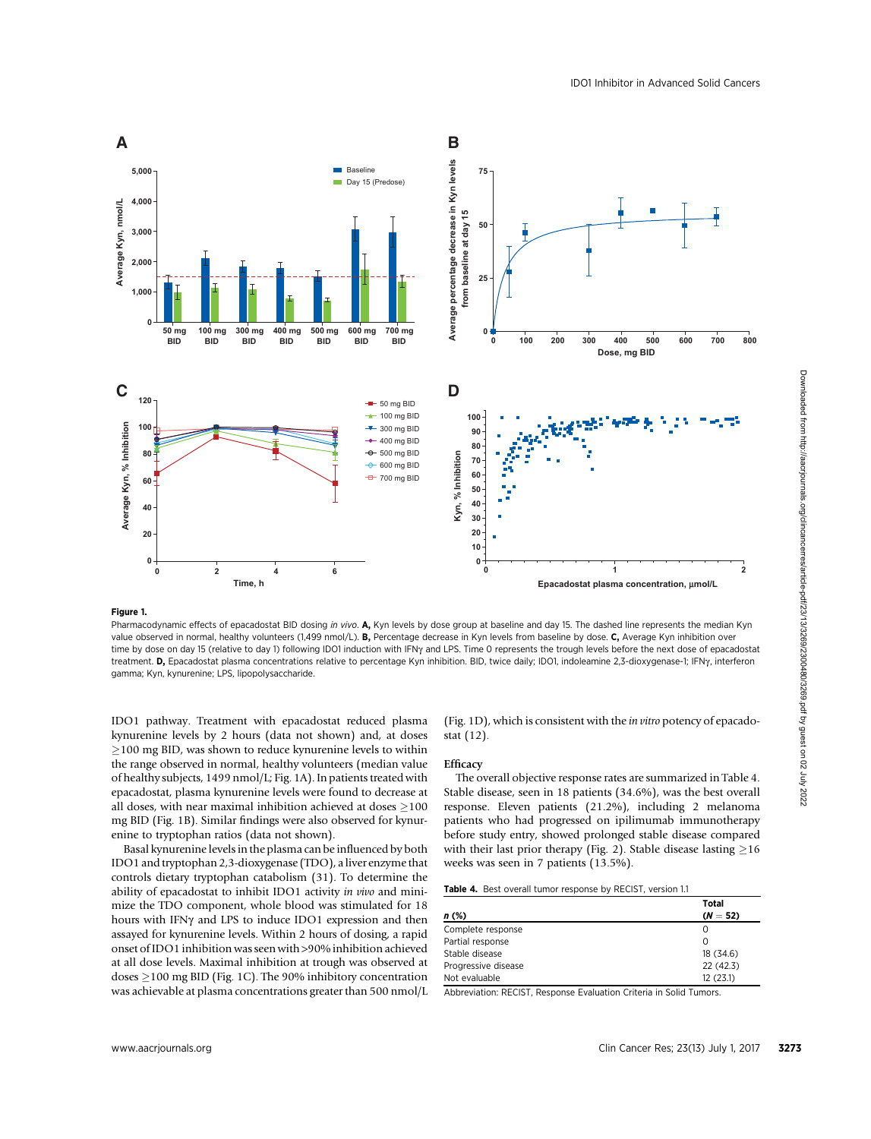

## Figure 1.

Pharmacodynamic effects of epacadostat BID dosing in vivo. A, Kyn levels by dose group at baseline and day 15. The dashed line represents the median Kyn value observed in normal, healthy volunteers (1,499 nmol/L). B, Percentage decrease in Kyn levels from baseline by dose. C, Average Kyn inhibition over time by dose on day 15 (relative to day 1) following IDO1 induction with IFNy and LPS. Time 0 represents the trough levels before the next dose of epacadostat treatment. D, Epacadostat plasma concentrations relative to percentage Kyn inhibition. BID, twice daily; IDO1, indoleamine 2,3-dioxygenase-1; IFNy, interferon gamma; Kyn, kynurenine; LPS, lipopolysaccharide.

IDO1 pathway. Treatment with epacadostat reduced plasma kynurenine levels by 2 hours (data not shown) and, at doses  $\geq$ 100 mg BID, was shown to reduce kynurenine levels to within the range observed in normal, healthy volunteers (median value of healthy subjects, 1499 nmol/L; Fig. 1A). In patients treated with epacadostat, plasma kynurenine levels were found to decrease at all doses, with near maximal inhibition achieved at doses  $\geq$ 100 mg BID (Fig. 1B). Similar findings were also observed for kynurenine to tryptophan ratios (data not shown).

Basal kynurenine levels in the plasma can be influenced by both IDO1 and tryptophan 2,3-dioxygenase (TDO), a liver enzyme that controls dietary tryptophan catabolism (31). To determine the ability of epacadostat to inhibit IDO1 activity in vivo and minimize the TDO component, whole blood was stimulated for 18 hours with IFN $\gamma$  and LPS to induce IDO1 expression and then assayed for kynurenine levels. Within 2 hours of dosing, a rapid onset of IDO1 inhibition was seen with >90% inhibition achieved at all dose levels. Maximal inhibition at trough was observed at doses  $\geq$ 100 mg BID (Fig. 1C). The 90% inhibitory concentration was achievable at plasma concentrations greater than 500 nmol/L (Fig. 1D), which is consistent with the in vitro potency of epacadostat (12).

# **Efficacy**

The overall objective response rates are summarized in Table 4. Stable disease, seen in 18 patients (34.6%), was the best overall response. Eleven patients (21.2%), including 2 melanoma patients who had progressed on ipilimumab immunotherapy before study entry, showed prolonged stable disease compared with their last prior therapy (Fig. 2). Stable disease lasting  $\geq$ 16 weeks was seen in 7 patients (13.5%).

Table 4. Best overall tumor response by RECIST, version 1.1

|                     | <b>Total</b> |
|---------------------|--------------|
| n (%)               | $(N = 52)$   |
| Complete response   | O            |
| Partial response    | 0            |
| Stable disease      | 18 (34.6)    |
| Progressive disease | 22(42.3)     |
| Not evaluable       | 12(23.1)     |

Abbreviation: RECIST, Response Evaluation Criteria in Solid Tumors.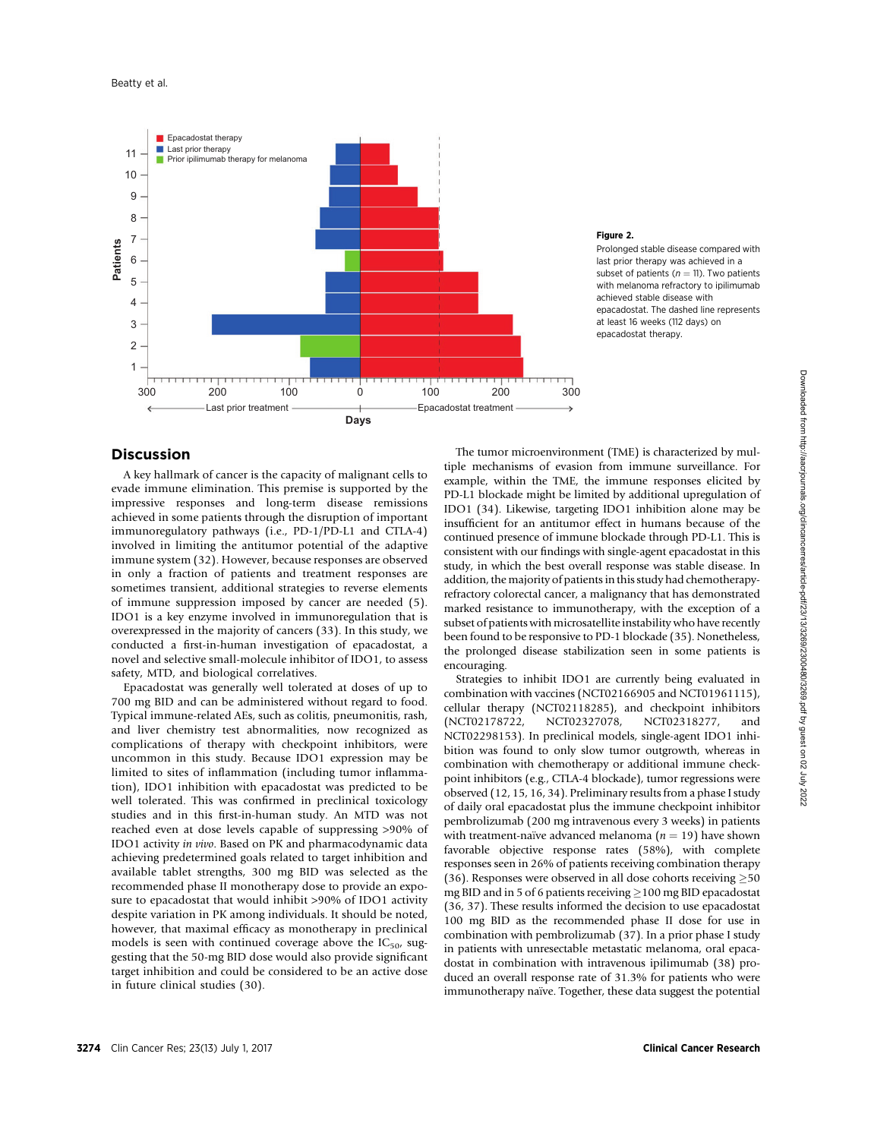![](_page_5_Figure_1.jpeg)

# Figure 2.

Prolonged stable disease compared with last prior therapy was achieved in a subset of patients ( $n = 11$ ). Two patients with melanoma refractory to ipilimumab achieved stable disease with epacadostat. The dashed line represents at least 16 weeks (112 days) on epacadostat therapy.

# Discussion

A key hallmark of cancer is the capacity of malignant cells to evade immune elimination. This premise is supported by the impressive responses and long-term disease remissions achieved in some patients through the disruption of important immunoregulatory pathways (i.e., PD-1/PD-L1 and CTLA-4) involved in limiting the antitumor potential of the adaptive immune system (32). However, because responses are observed in only a fraction of patients and treatment responses are sometimes transient, additional strategies to reverse elements of immune suppression imposed by cancer are needed (5). IDO1 is a key enzyme involved in immunoregulation that is overexpressed in the majority of cancers (33). In this study, we conducted a first-in-human investigation of epacadostat, a novel and selective small-molecule inhibitor of IDO1, to assess safety, MTD, and biological correlatives.

Epacadostat was generally well tolerated at doses of up to 700 mg BID and can be administered without regard to food. Typical immune-related AEs, such as colitis, pneumonitis, rash, and liver chemistry test abnormalities, now recognized as complications of therapy with checkpoint inhibitors, were uncommon in this study. Because IDO1 expression may be limited to sites of inflammation (including tumor inflammation), IDO1 inhibition with epacadostat was predicted to be well tolerated. This was confirmed in preclinical toxicology studies and in this first-in-human study. An MTD was not reached even at dose levels capable of suppressing >90% of IDO1 activity in vivo. Based on PK and pharmacodynamic data achieving predetermined goals related to target inhibition and available tablet strengths, 300 mg BID was selected as the recommended phase II monotherapy dose to provide an exposure to epacadostat that would inhibit >90% of IDO1 activity despite variation in PK among individuals. It should be noted, however, that maximal efficacy as monotherapy in preclinical models is seen with continued coverage above the  $IC_{50}$ , suggesting that the 50-mg BID dose would also provide significant target inhibition and could be considered to be an active dose in future clinical studies (30).

The tumor microenvironment (TME) is characterized by multiple mechanisms of evasion from immune surveillance. For example, within the TME, the immune responses elicited by PD-L1 blockade might be limited by additional upregulation of IDO1 (34). Likewise, targeting IDO1 inhibition alone may be insufficient for an antitumor effect in humans because of the continued presence of immune blockade through PD-L1. This is consistent with our findings with single-agent epacadostat in this study, in which the best overall response was stable disease. In addition, the majority of patients in this study had chemotherapyrefractory colorectal cancer, a malignancy that has demonstrated marked resistance to immunotherapy, with the exception of a subset of patients with microsatellite instability who have recently been found to be responsive to PD-1 blockade (35). Nonetheless, the prolonged disease stabilization seen in some patients is encouraging.

Strategies to inhibit IDO1 are currently being evaluated in combination with vaccines (NCT02166905 and NCT01961115), cellular therapy (NCT02118285), and checkpoint inhibitors (NCT02178722, NCT02327078, NCT02318277, and NCT02298153). In preclinical models, single-agent IDO1 inhibition was found to only slow tumor outgrowth, whereas in combination with chemotherapy or additional immune checkpoint inhibitors (e.g., CTLA-4 blockade), tumor regressions were observed (12, 15, 16, 34). Preliminary results from a phase I study of daily oral epacadostat plus the immune checkpoint inhibitor pembrolizumab (200 mg intravenous every 3 weeks) in patients with treatment-naïve advanced melanoma  $(n = 19)$  have shown favorable objective response rates (58%), with complete responses seen in 26% of patients receiving combination therapy (36). Responses were observed in all dose cohorts receiving  $\geq$  50 mg BID and in 5 of 6 patients receiving  $\geq$  100 mg BID epacadostat (36, 37). These results informed the decision to use epacadostat 100 mg BID as the recommended phase II dose for use in combination with pembrolizumab (37). In a prior phase I study in patients with unresectable metastatic melanoma, oral epacadostat in combination with intravenous ipilimumab (38) produced an overall response rate of 31.3% for patients who were immunotherapy naïve. Together, these data suggest the potential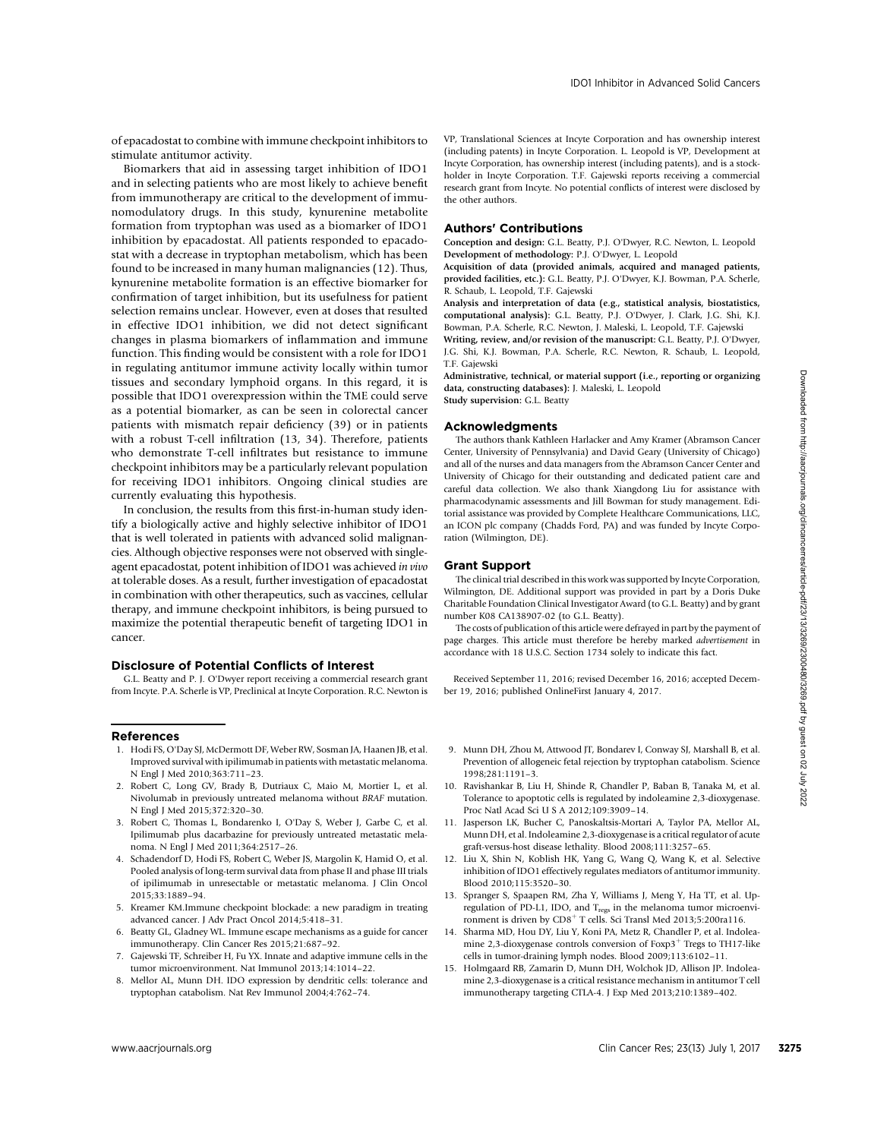of epacadostat to combine with immune checkpoint inhibitors to stimulate antitumor activity.

Biomarkers that aid in assessing target inhibition of IDO1 and in selecting patients who are most likely to achieve benefit from immunotherapy are critical to the development of immunomodulatory drugs. In this study, kynurenine metabolite formation from tryptophan was used as a biomarker of IDO1 inhibition by epacadostat. All patients responded to epacadostat with a decrease in tryptophan metabolism, which has been found to be increased in many human malignancies (12). Thus, kynurenine metabolite formation is an effective biomarker for confirmation of target inhibition, but its usefulness for patient selection remains unclear. However, even at doses that resulted in effective IDO1 inhibition, we did not detect significant changes in plasma biomarkers of inflammation and immune function. This finding would be consistent with a role for IDO1 in regulating antitumor immune activity locally within tumor tissues and secondary lymphoid organs. In this regard, it is possible that IDO1 overexpression within the TME could serve as a potential biomarker, as can be seen in colorectal cancer patients with mismatch repair deficiency (39) or in patients with a robust T-cell infiltration (13, 34). Therefore, patients who demonstrate T-cell infiltrates but resistance to immune checkpoint inhibitors may be a particularly relevant population for receiving IDO1 inhibitors. Ongoing clinical studies are currently evaluating this hypothesis.

In conclusion, the results from this first-in-human study identify a biologically active and highly selective inhibitor of IDO1 that is well tolerated in patients with advanced solid malignancies. Although objective responses were not observed with singleagent epacadostat, potent inhibition of IDO1 was achieved in vivo at tolerable doses. As a result, further investigation of epacadostat in combination with other therapeutics, such as vaccines, cellular therapy, and immune checkpoint inhibitors, is being pursued to maximize the potential therapeutic benefit of targeting IDO1 in cancer. Hence the control is the rest of the respect of the respect of the rest of the rest 23(13) July 1, 2017 32/1333 July 1, 2017 32/1333 July 1, 2017 32/133 July 1, 2017 32/133 July 1, 2017 32/133 July 1, 2017 32/133 July 1,

## Disclosure of Potential Conflicts of Interest

G.L. Beatty and P. J. O'Dwyer report receiving a commercial research grant from Incyte. P.A. Scherle is VP, Preclinical at Incyte Corporation. R.C. Newton is

#### References

- 1. Hodi FS, O'Day SJ, McDermott DF, Weber RW, Sosman JA, Haanen JB, et al. Improved survival with ipilimumab in patients with metastatic melanoma. N Engl J Med 2010;363:711–23.
- 2. Robert C, Long GV, Brady B, Dutriaux C, Maio M, Mortier L, et al. Nivolumab in previously untreated melanoma without BRAF mutation. N Engl J Med 2015;372:320–30.
- 3. Robert C, Thomas L, Bondarenko I, O'Day S, Weber J, Garbe C, et al. Ipilimumab plus dacarbazine for previously untreated metastatic melanoma. N Engl J Med 2011;364:2517–26.
- 4. Schadendorf D, Hodi FS, Robert C, Weber JS, Margolin K, Hamid O, et al. Pooled analysis of long-term survival data from phase II and phase III trials of ipilimumab in unresectable or metastatic melanoma. J Clin Oncol 2015;33:1889–94.
- 5. Kreamer KM.Immune checkpoint blockade: a new paradigm in treating advanced cancer. J Adv Pract Oncol 2014;5:418–31.
- 6. Beatty GL, Gladney WL. Immune escape mechanisms as a guide for cancer immunotherapy. Clin Cancer Res 2015;21:687–92.
- 7. Gajewski TF, Schreiber H, Fu YX. Innate and adaptive immune cells in the tumor microenvironment. Nat Immunol 2013;14:1014–22.
- 8. Mellor AL, Munn DH. IDO expression by dendritic cells: tolerance and tryptophan catabolism. Nat Rev Immunol 2004;4:762–74.

VP, Translational Sciences at Incyte Corporation and has ownership interest (including patents) in Incyte Corporation. L. Leopold is VP, Development at Incyte Corporation, has ownership interest (including patents), and is a stockholder in Incyte Corporation. T.F. Gajewski reports receiving a commercial research grant from Incyte. No potential conflicts of interest were disclosed by the other authors.

## Authors' Contributions

Conception and design: G.L. Beatty, P.J. O'Dwyer, R.C. Newton, L. Leopold Development of methodology: P.J. O'Dwyer, L. Leopold

Acquisition of data (provided animals, acquired and managed patients, provided facilities, etc.): G.L. Beatty, P.J. O'Dwyer, K.J. Bowman, P.A. Scherle, R. Schaub, L. Leopold, T.F. Gajewski

Analysis and interpretation of data (e.g., statistical analysis, biostatistics, computational analysis): G.L. Beatty, P.J. O'Dwyer, J. Clark, J.G. Shi, K.J. Bowman, P.A. Scherle, R.C. Newton, J. Maleski, L. Leopold, T.F. Gajewski

Writing, review, and/or revision of the manuscript: G.L. Beatty, P.J. O'Dwyer, J.G. Shi, K.J. Bowman, P.A. Scherle, R.C. Newton, R. Schaub, L. Leopold, T.F. Gajewski

Administrative, technical, or material support (i.e., reporting or organizing data, constructing databases): J. Maleski, L. Leopold

Study supervision: G.L. Beatty

#### Acknowledgments

The authors thank Kathleen Harlacker and Amy Kramer (Abramson Cancer Center, University of Pennsylvania) and David Geary (University of Chicago) and all of the nurses and data managers from the Abramson Cancer Center and University of Chicago for their outstanding and dedicated patient care and careful data collection. We also thank Xiangdong Liu for assistance with pharmacodynamic assessments and Jill Bowman for study management. Editorial assistance was provided by Complete Healthcare Communications, LLC, an ICON plc company (Chadds Ford, PA) and was funded by Incyte Corporation (Wilmington, DE).

# Grant Support

The clinical trial described in this work was supported by Incyte Corporation, Wilmington, DE. Additional support was provided in part by a Doris Duke Charitable Foundation Clinical Investigator Award (to G.L. Beatty) and by grant number K08 CA138907-02 (to G.L. Beatty).

The costs of publication of this article were defrayed in part by the payment of page charges. This article must therefore be hereby marked *advertisement* in accordance with 18 U.S.C. Section 1734 solely to indicate this fact.

Received September 11, 2016; revised December 16, 2016; accepted December 19, 2016; published OnlineFirst January 4, 2017.

- 9. Munn DH, Zhou M, Attwood JT, Bondarev I, Conway SJ, Marshall B, et al. Prevention of allogeneic fetal rejection by tryptophan catabolism. Science 1998;281:1191–3.
- 10. Ravishankar B, Liu H, Shinde R, Chandler P, Baban B, Tanaka M, et al. Tolerance to apoptotic cells is regulated by indoleamine 2,3-dioxygenase. Proc Natl Acad Sci U S A 2012;109:3909–14.
- 11. Jasperson LK, Bucher C, Panoskaltsis-Mortari A, Taylor PA, Mellor AL, Munn DH, et al. Indoleamine 2,3-dioxygenase is a critical regulator of acute graft-versus-host disease lethality. Blood 2008;111:3257–65.
- 12. Liu X, Shin N, Koblish HK, Yang G, Wang Q, Wang K, et al. Selective inhibition of IDO1 effectively regulates mediators of antitumor immunity. Blood 2010;115:3520–30.
- 13. Spranger S, Spaapen RM, Zha Y, Williams J, Meng Y, Ha TT, et al. Upregulation of PD-L1, IDO, and T<sub>regs</sub> in the melanoma tumor microenvironment is driven by  $CD8<sup>+</sup>$  T cells. Sci Transl Med 2013;5:200ra116.
- 14. Sharma MD, Hou DY, Liu Y, Koni PA, Metz R, Chandler P, et al. Indoleamine 2,3-dioxygenase controls conversion of  $F\alpha p3^+$  Tregs to TH17-like cells in tumor-draining lymph nodes. Blood 2009;113:6102–11.
- 15. Holmgaard RB, Zamarin D, Munn DH, Wolchok JD, Allison JP. Indoleamine 2,3-dioxygenase is a critical resistance mechanism in antitumor T cell immunotherapy targeting CTLA-4. J Exp Med 2013;210:1389–402.